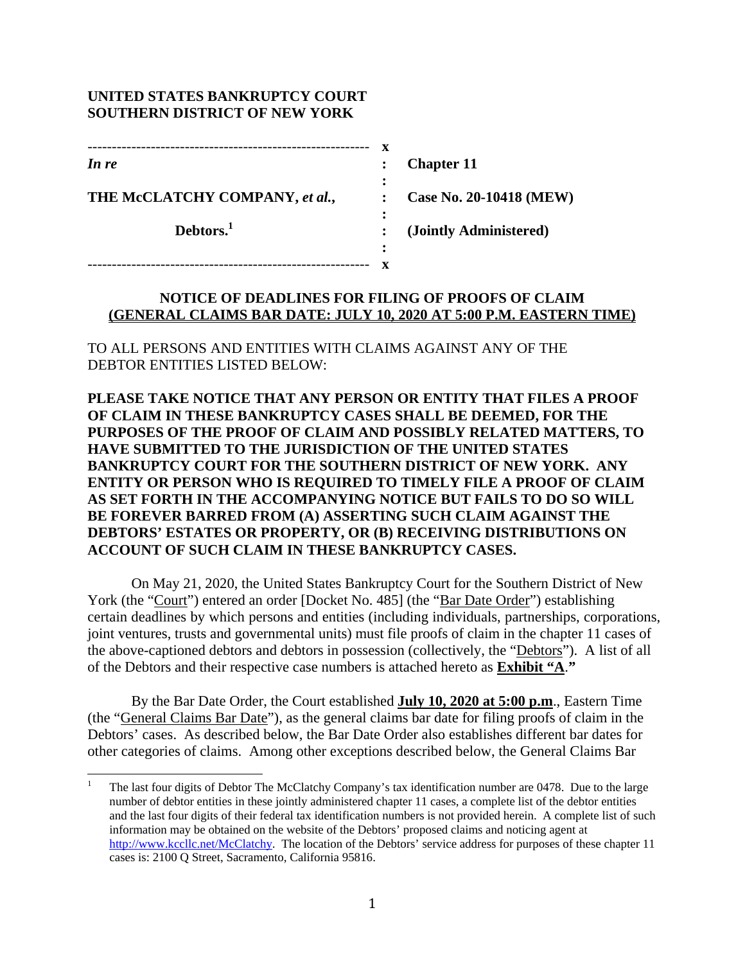#### **UNITED STATES BANKRUPTCY COURT SOUTHERN DISTRICT OF NEW YORK**

 

| ---------------------          |                             |                         |
|--------------------------------|-----------------------------|-------------------------|
| In re                          |                             | <b>Chapter 11</b>       |
| THE McCLATCHY COMPANY, et al., | $\ddot{\cdot}$<br>$\bullet$ | Case No. 20-10418 (MEW) |
| Debtors. <sup>1</sup>          |                             | (Jointly Administered)  |
|                                | ٠                           |                         |
|                                |                             |                         |

#### **NOTICE OF DEADLINES FOR FILING OF PROOFS OF CLAIM (GENERAL CLAIMS BAR DATE: JULY 10, 2020 AT 5:00 P.M. EASTERN TIME)**

TO ALL PERSONS AND ENTITIES WITH CLAIMS AGAINST ANY OF THE DEBTOR ENTITIES LISTED BELOW:

**PLEASE TAKE NOTICE THAT ANY PERSON OR ENTITY THAT FILES A PROOF OF CLAIM IN THESE BANKRUPTCY CASES SHALL BE DEEMED, FOR THE PURPOSES OF THE PROOF OF CLAIM AND POSSIBLY RELATED MATTERS, TO HAVE SUBMITTED TO THE JURISDICTION OF THE UNITED STATES BANKRUPTCY COURT FOR THE SOUTHERN DISTRICT OF NEW YORK. ANY ENTITY OR PERSON WHO IS REQUIRED TO TIMELY FILE A PROOF OF CLAIM AS SET FORTH IN THE ACCOMPANYING NOTICE BUT FAILS TO DO SO WILL BE FOREVER BARRED FROM (A) ASSERTING SUCH CLAIM AGAINST THE DEBTORS' ESTATES OR PROPERTY, OR (B) RECEIVING DISTRIBUTIONS ON ACCOUNT OF SUCH CLAIM IN THESE BANKRUPTCY CASES.** 

 On May 21, 2020, the United States Bankruptcy Court for the Southern District of New York (the "Court") entered an order [Docket No. 485] (the "Bar Date Order") establishing certain deadlines by which persons and entities (including individuals, partnerships, corporations, joint ventures, trusts and governmental units) must file proofs of claim in the chapter 11 cases of the above-captioned debtors and debtors in possession (collectively, the "Debtors"). A list of all of the Debtors and their respective case numbers is attached hereto as **Exhibit "A**.**"**

 By the Bar Date Order, the Court established **July 10, 2020 at 5:00 p.m**., Eastern Time (the "General Claims Bar Date"), as the general claims bar date for filing proofs of claim in the Debtors' cases. As described below, the Bar Date Order also establishes different bar dates for other categories of claims. Among other exceptions described below, the General Claims Bar

<sup>1</sup> The last four digits of Debtor The McClatchy Company's tax identification number are 0478. Due to the large number of debtor entities in these jointly administered chapter 11 cases, a complete list of the debtor entities and the last four digits of their federal tax identification numbers is not provided herein. A complete list of such information may be obtained on the website of the Debtors' proposed claims and noticing agent at http://www.kccllc.net/McClatchy. The location of the Debtors' service address for purposes of these chapter 11 cases is: 2100 Q Street, Sacramento, California 95816.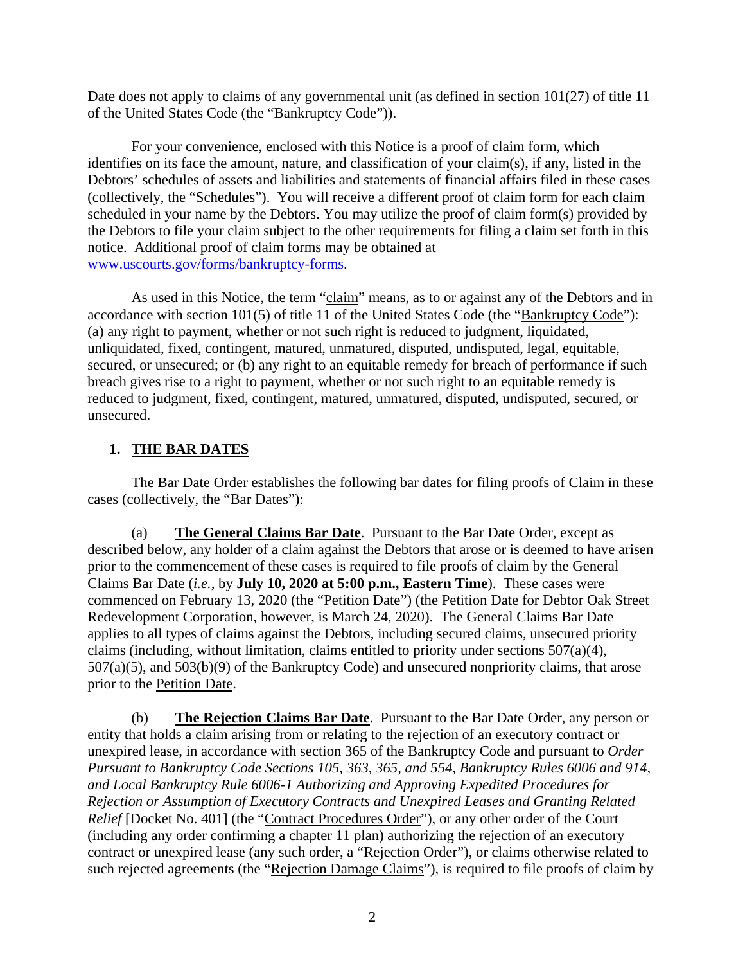Date does not apply to claims of any governmental unit (as defined in section  $101(27)$  of title 11 of the United States Code (the "Bankruptcy Code")).

 For your convenience, enclosed with this Notice is a proof of claim form, which identifies on its face the amount, nature, and classification of your claim(s), if any, listed in the Debtors' schedules of assets and liabilities and statements of financial affairs filed in these cases (collectively, the "Schedules"). You will receive a different proof of claim form for each claim scheduled in your name by the Debtors. You may utilize the proof of claim form(s) provided by the Debtors to file your claim subject to the other requirements for filing a claim set forth in this notice. Additional proof of claim forms may be obtained at www.uscourts.gov/forms/bankruptcy-forms.

 As used in this Notice, the term "claim" means, as to or against any of the Debtors and in accordance with section 101(5) of title 11 of the United States Code (the "Bankruptcy Code"): (a) any right to payment, whether or not such right is reduced to judgment, liquidated, unliquidated, fixed, contingent, matured, unmatured, disputed, undisputed, legal, equitable, secured, or unsecured; or (b) any right to an equitable remedy for breach of performance if such breach gives rise to a right to payment, whether or not such right to an equitable remedy is reduced to judgment, fixed, contingent, matured, unmatured, disputed, undisputed, secured, or unsecured.

# **1. THE BAR DATES**

 The Bar Date Order establishes the following bar dates for filing proofs of Claim in these cases (collectively, the "Bar Dates"):

(a) **The General Claims Bar Date**. Pursuant to the Bar Date Order, except as described below, any holder of a claim against the Debtors that arose or is deemed to have arisen prior to the commencement of these cases is required to file proofs of claim by the General Claims Bar Date (*i.e.*, by **July 10, 2020 at 5:00 p.m., Eastern Time**). These cases were commenced on February 13, 2020 (the "Petition Date") (the Petition Date for Debtor Oak Street Redevelopment Corporation, however, is March 24, 2020). The General Claims Bar Date applies to all types of claims against the Debtors, including secured claims, unsecured priority claims (including, without limitation, claims entitled to priority under sections 507(a)(4), 507(a)(5), and 503(b)(9) of the Bankruptcy Code) and unsecured nonpriority claims, that arose prior to the Petition Date.

 (b) **The Rejection Claims Bar Date**. Pursuant to the Bar Date Order, any person or entity that holds a claim arising from or relating to the rejection of an executory contract or unexpired lease, in accordance with section 365 of the Bankruptcy Code and pursuant to *Order Pursuant to Bankruptcy Code Sections 105, 363, 365, and 554, Bankruptcy Rules 6006 and 914, and Local Bankruptcy Rule 6006-1 Authorizing and Approving Expedited Procedures for Rejection or Assumption of Executory Contracts and Unexpired Leases and Granting Related Relief* [Docket No. 401] (the "Contract Procedures Order"), or any other order of the Court (including any order confirming a chapter 11 plan) authorizing the rejection of an executory contract or unexpired lease (any such order, a "Rejection Order"), or claims otherwise related to such rejected agreements (the "Rejection Damage Claims"), is required to file proofs of claim by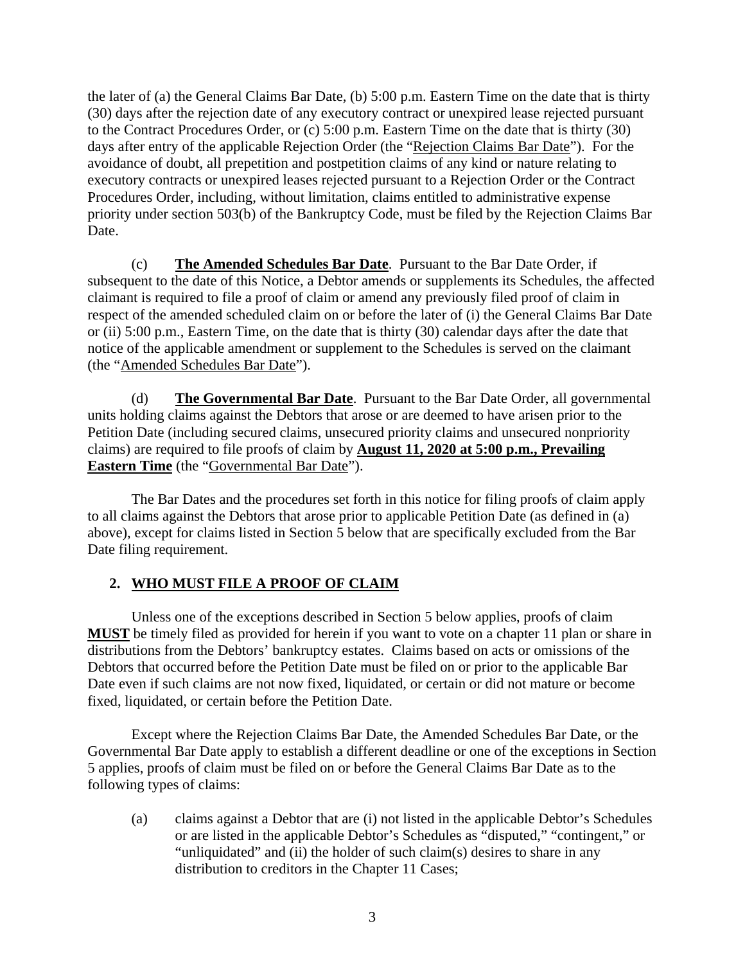the later of (a) the General Claims Bar Date, (b) 5:00 p.m. Eastern Time on the date that is thirty (30) days after the rejection date of any executory contract or unexpired lease rejected pursuant to the Contract Procedures Order, or (c) 5:00 p.m. Eastern Time on the date that is thirty (30) days after entry of the applicable Rejection Order (the "Rejection Claims Bar Date"). For the avoidance of doubt, all prepetition and postpetition claims of any kind or nature relating to executory contracts or unexpired leases rejected pursuant to a Rejection Order or the Contract Procedures Order, including, without limitation, claims entitled to administrative expense priority under section 503(b) of the Bankruptcy Code, must be filed by the Rejection Claims Bar Date.

 (c) **The Amended Schedules Bar Date**. Pursuant to the Bar Date Order, if subsequent to the date of this Notice, a Debtor amends or supplements its Schedules, the affected claimant is required to file a proof of claim or amend any previously filed proof of claim in respect of the amended scheduled claim on or before the later of (i) the General Claims Bar Date or (ii) 5:00 p.m., Eastern Time, on the date that is thirty (30) calendar days after the date that notice of the applicable amendment or supplement to the Schedules is served on the claimant (the "Amended Schedules Bar Date").

 (d) **The Governmental Bar Date**. Pursuant to the Bar Date Order, all governmental units holding claims against the Debtors that arose or are deemed to have arisen prior to the Petition Date (including secured claims, unsecured priority claims and unsecured nonpriority claims) are required to file proofs of claim by **August 11, 2020 at 5:00 p.m., Prevailing Eastern Time** (the "Governmental Bar Date").

The Bar Dates and the procedures set forth in this notice for filing proofs of claim apply to all claims against the Debtors that arose prior to applicable Petition Date (as defined in (a) above), except for claims listed in Section 5 below that are specifically excluded from the Bar Date filing requirement.

### **2. WHO MUST FILE A PROOF OF CLAIM**

Unless one of the exceptions described in Section 5 below applies, proofs of claim **MUST** be timely filed as provided for herein if you want to vote on a chapter 11 plan or share in distributions from the Debtors' bankruptcy estates. Claims based on acts or omissions of the Debtors that occurred before the Petition Date must be filed on or prior to the applicable Bar Date even if such claims are not now fixed, liquidated, or certain or did not mature or become fixed, liquidated, or certain before the Petition Date.

 Except where the Rejection Claims Bar Date, the Amended Schedules Bar Date, or the Governmental Bar Date apply to establish a different deadline or one of the exceptions in Section 5 applies, proofs of claim must be filed on or before the General Claims Bar Date as to the following types of claims:

(a) claims against a Debtor that are (i) not listed in the applicable Debtor's Schedules or are listed in the applicable Debtor's Schedules as "disputed," "contingent," or "unliquidated" and (ii) the holder of such claim(s) desires to share in any distribution to creditors in the Chapter 11 Cases;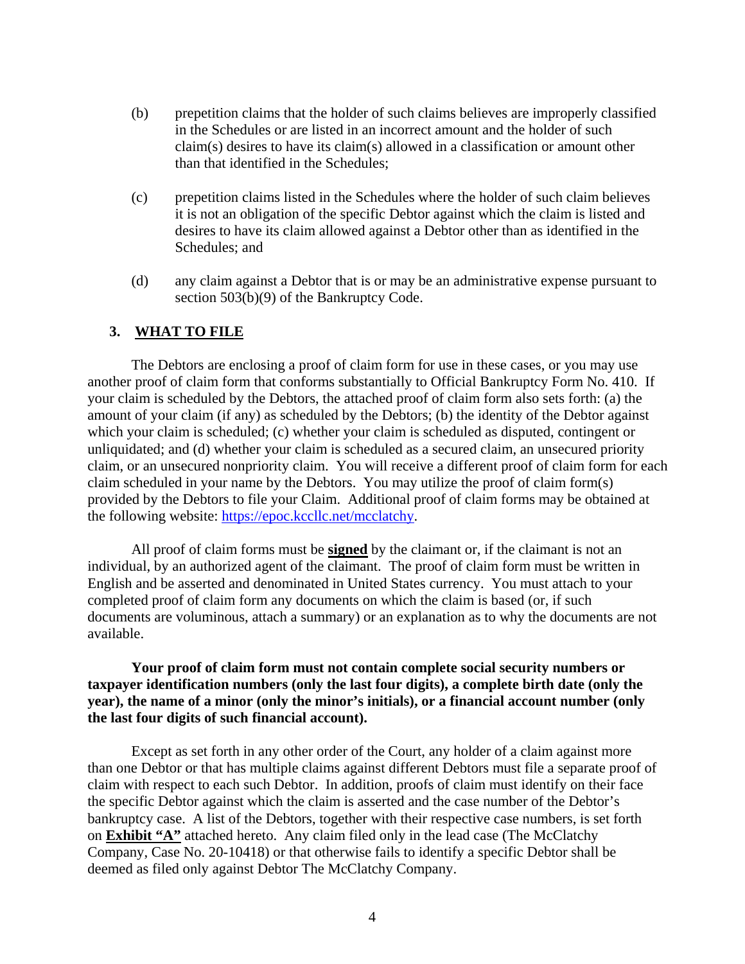- (b) prepetition claims that the holder of such claims believes are improperly classified in the Schedules or are listed in an incorrect amount and the holder of such claim(s) desires to have its claim(s) allowed in a classification or amount other than that identified in the Schedules;
- (c) prepetition claims listed in the Schedules where the holder of such claim believes it is not an obligation of the specific Debtor against which the claim is listed and desires to have its claim allowed against a Debtor other than as identified in the Schedules; and
- (d) any claim against a Debtor that is or may be an administrative expense pursuant to section 503(b)(9) of the Bankruptcy Code.

### **3. WHAT TO FILE**

 The Debtors are enclosing a proof of claim form for use in these cases, or you may use another proof of claim form that conforms substantially to Official Bankruptcy Form No. 410. If your claim is scheduled by the Debtors, the attached proof of claim form also sets forth: (a) the amount of your claim (if any) as scheduled by the Debtors; (b) the identity of the Debtor against which your claim is scheduled; (c) whether your claim is scheduled as disputed, contingent or unliquidated; and (d) whether your claim is scheduled as a secured claim, an unsecured priority claim, or an unsecured nonpriority claim. You will receive a different proof of claim form for each claim scheduled in your name by the Debtors. You may utilize the proof of claim form(s) provided by the Debtors to file your Claim. Additional proof of claim forms may be obtained at the following website: https://epoc.kccllc.net/mcclatchy.

 All proof of claim forms must be **signed** by the claimant or, if the claimant is not an individual, by an authorized agent of the claimant. The proof of claim form must be written in English and be asserted and denominated in United States currency. You must attach to your completed proof of claim form any documents on which the claim is based (or, if such documents are voluminous, attach a summary) or an explanation as to why the documents are not available.

#### **Your proof of claim form must not contain complete social security numbers or taxpayer identification numbers (only the last four digits), a complete birth date (only the year), the name of a minor (only the minor's initials), or a financial account number (only the last four digits of such financial account).**

Except as set forth in any other order of the Court, any holder of a claim against more than one Debtor or that has multiple claims against different Debtors must file a separate proof of claim with respect to each such Debtor. In addition, proofs of claim must identify on their face the specific Debtor against which the claim is asserted and the case number of the Debtor's bankruptcy case. A list of the Debtors, together with their respective case numbers, is set forth on **Exhibit "A"** attached hereto. Any claim filed only in the lead case (The McClatchy Company, Case No. 20-10418) or that otherwise fails to identify a specific Debtor shall be deemed as filed only against Debtor The McClatchy Company.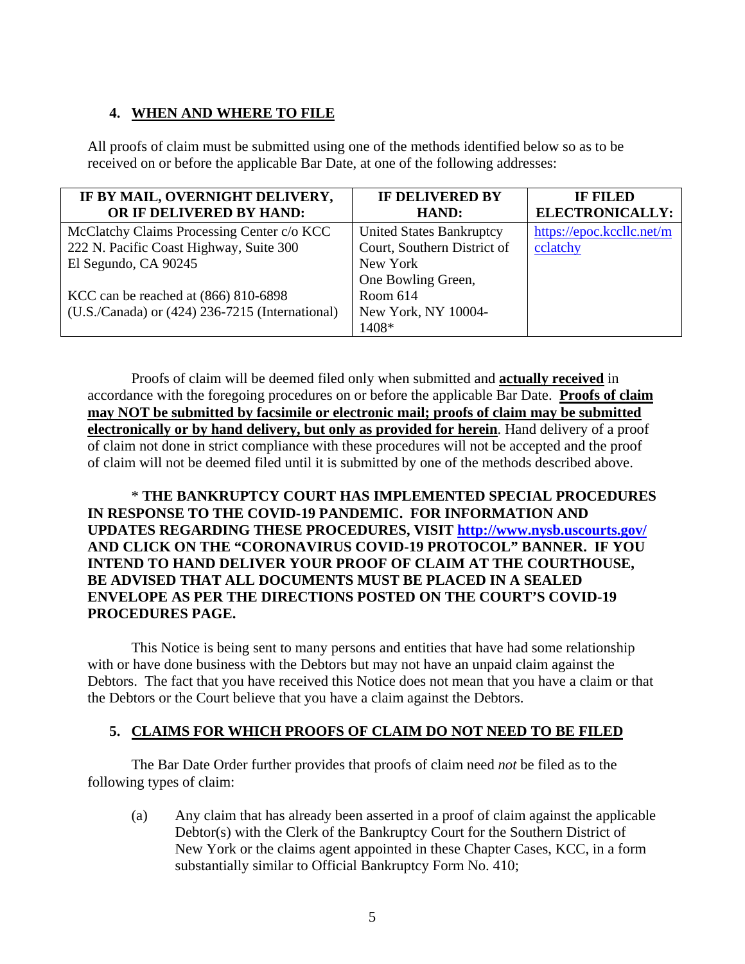# **4. WHEN AND WHERE TO FILE**

All proofs of claim must be submitted using one of the methods identified below so as to be received on or before the applicable Bar Date, at one of the following addresses:

| IF BY MAIL, OVERNIGHT DELIVERY,                 | <b>IF DELIVERED BY</b>          | <b>IF FILED</b>           |
|-------------------------------------------------|---------------------------------|---------------------------|
| OR IF DELIVERED BY HAND:                        | HAND:                           | ELECTRONICALLY:           |
| McClatchy Claims Processing Center c/o KCC      | <b>United States Bankruptcy</b> | https://epoc.kccllc.net/m |
| 222 N. Pacific Coast Highway, Suite 300         | Court, Southern District of     | cclatchy                  |
| El Segundo, CA 90245                            | New York                        |                           |
|                                                 | One Bowling Green,              |                           |
| KCC can be reached at (866) 810-6898            | Room 614                        |                           |
| (U.S./Canada) or (424) 236-7215 (International) | New York, NY 10004-             |                           |
|                                                 | 1408*                           |                           |

Proofs of claim will be deemed filed only when submitted and **actually received** in accordance with the foregoing procedures on or before the applicable Bar Date. **Proofs of claim may NOT be submitted by facsimile or electronic mail; proofs of claim may be submitted electronically or by hand delivery, but only as provided for herein**. Hand delivery of a proof of claim not done in strict compliance with these procedures will not be accepted and the proof of claim will not be deemed filed until it is submitted by one of the methods described above.

### \* **THE BANKRUPTCY COURT HAS IMPLEMENTED SPECIAL PROCEDURES IN RESPONSE TO THE COVID-19 PANDEMIC. FOR INFORMATION AND UPDATES REGARDING THESE PROCEDURES, VISIT http://www.nysb.uscourts.gov/ AND CLICK ON THE "CORONAVIRUS COVID-19 PROTOCOL" BANNER. IF YOU INTEND TO HAND DELIVER YOUR PROOF OF CLAIM AT THE COURTHOUSE, BE ADVISED THAT ALL DOCUMENTS MUST BE PLACED IN A SEALED ENVELOPE AS PER THE DIRECTIONS POSTED ON THE COURT'S COVID-19 PROCEDURES PAGE.**

 This Notice is being sent to many persons and entities that have had some relationship with or have done business with the Debtors but may not have an unpaid claim against the Debtors. The fact that you have received this Notice does not mean that you have a claim or that the Debtors or the Court believe that you have a claim against the Debtors.

### **5. CLAIMS FOR WHICH PROOFS OF CLAIM DO NOT NEED TO BE FILED**

 The Bar Date Order further provides that proofs of claim need *not* be filed as to the following types of claim:

(a) Any claim that has already been asserted in a proof of claim against the applicable Debtor(s) with the Clerk of the Bankruptcy Court for the Southern District of New York or the claims agent appointed in these Chapter Cases, KCC, in a form substantially similar to Official Bankruptcy Form No. 410;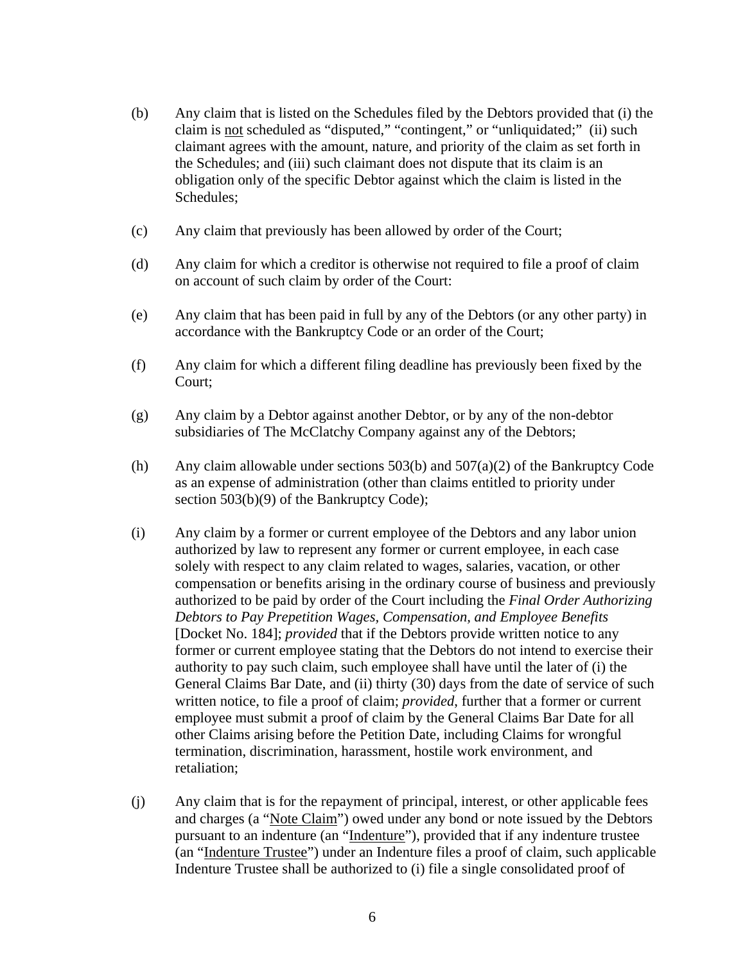- (b) Any claim that is listed on the Schedules filed by the Debtors provided that (i) the claim is not scheduled as "disputed," "contingent," or "unliquidated;" (ii) such claimant agrees with the amount, nature, and priority of the claim as set forth in the Schedules; and (iii) such claimant does not dispute that its claim is an obligation only of the specific Debtor against which the claim is listed in the Schedules;
- (c) Any claim that previously has been allowed by order of the Court;
- (d) Any claim for which a creditor is otherwise not required to file a proof of claim on account of such claim by order of the Court:
- (e) Any claim that has been paid in full by any of the Debtors (or any other party) in accordance with the Bankruptcy Code or an order of the Court;
- (f) Any claim for which a different filing deadline has previously been fixed by the Court;
- (g) Any claim by a Debtor against another Debtor, or by any of the non-debtor subsidiaries of The McClatchy Company against any of the Debtors;
- (h) Any claim allowable under sections  $503(b)$  and  $507(a)(2)$  of the Bankruptcy Code as an expense of administration (other than claims entitled to priority under section 503(b)(9) of the Bankruptcy Code);
- (i) Any claim by a former or current employee of the Debtors and any labor union authorized by law to represent any former or current employee, in each case solely with respect to any claim related to wages, salaries, vacation, or other compensation or benefits arising in the ordinary course of business and previously authorized to be paid by order of the Court including the *Final Order Authorizing Debtors to Pay Prepetition Wages, Compensation, and Employee Benefits* [Docket No. 184]; *provided* that if the Debtors provide written notice to any former or current employee stating that the Debtors do not intend to exercise their authority to pay such claim, such employee shall have until the later of (i) the General Claims Bar Date, and (ii) thirty (30) days from the date of service of such written notice, to file a proof of claim; *provided*, further that a former or current employee must submit a proof of claim by the General Claims Bar Date for all other Claims arising before the Petition Date, including Claims for wrongful termination, discrimination, harassment, hostile work environment, and retaliation;
- (j) Any claim that is for the repayment of principal, interest, or other applicable fees and charges (a "Note Claim") owed under any bond or note issued by the Debtors pursuant to an indenture (an "Indenture"), provided that if any indenture trustee (an "Indenture Trustee") under an Indenture files a proof of claim, such applicable Indenture Trustee shall be authorized to (i) file a single consolidated proof of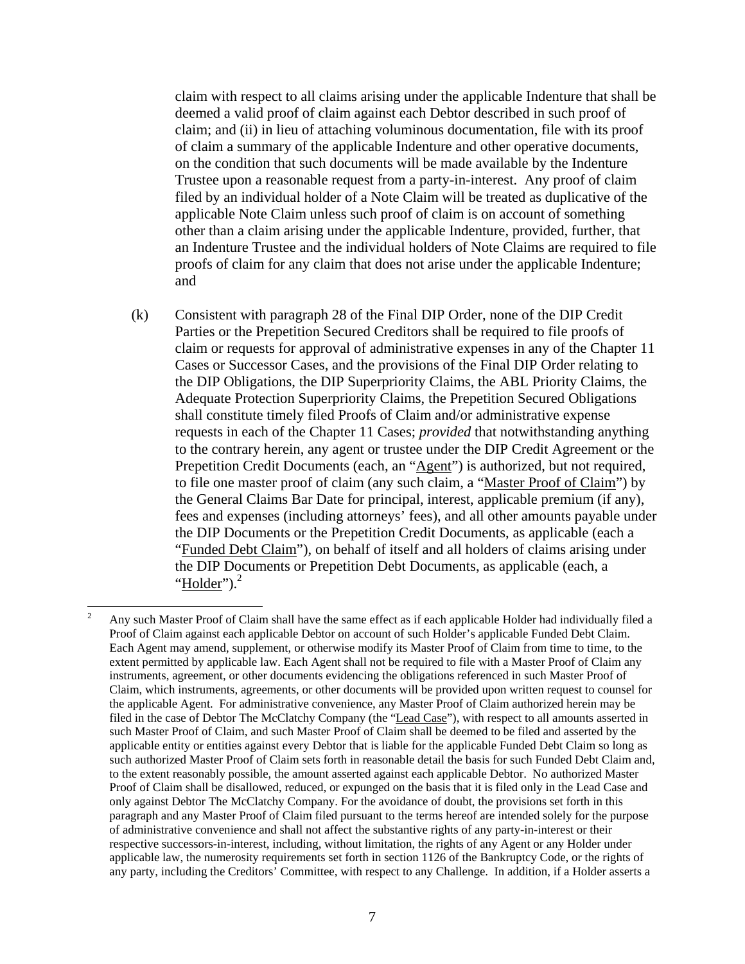claim with respect to all claims arising under the applicable Indenture that shall be deemed a valid proof of claim against each Debtor described in such proof of claim; and (ii) in lieu of attaching voluminous documentation, file with its proof of claim a summary of the applicable Indenture and other operative documents, on the condition that such documents will be made available by the Indenture Trustee upon a reasonable request from a party-in-interest. Any proof of claim filed by an individual holder of a Note Claim will be treated as duplicative of the applicable Note Claim unless such proof of claim is on account of something other than a claim arising under the applicable Indenture, provided, further, that an Indenture Trustee and the individual holders of Note Claims are required to file proofs of claim for any claim that does not arise under the applicable Indenture; and

(k) Consistent with paragraph 28 of the Final DIP Order, none of the DIP Credit Parties or the Prepetition Secured Creditors shall be required to file proofs of claim or requests for approval of administrative expenses in any of the Chapter 11 Cases or Successor Cases, and the provisions of the Final DIP Order relating to the DIP Obligations, the DIP Superpriority Claims, the ABL Priority Claims, the Adequate Protection Superpriority Claims, the Prepetition Secured Obligations shall constitute timely filed Proofs of Claim and/or administrative expense requests in each of the Chapter 11 Cases; *provided* that notwithstanding anything to the contrary herein, any agent or trustee under the DIP Credit Agreement or the Prepetition Credit Documents (each, an "Agent") is authorized, but not required, to file one master proof of claim (any such claim, a "Master Proof of Claim") by the General Claims Bar Date for principal, interest, applicable premium (if any), fees and expenses (including attorneys' fees), and all other amounts payable under the DIP Documents or the Prepetition Credit Documents, as applicable (each a "Funded Debt Claim"), on behalf of itself and all holders of claims arising under the DIP Documents or Prepetition Debt Documents, as applicable (each, a "Holder" $)$ .<sup>2</sup>

 

<sup>2</sup> Any such Master Proof of Claim shall have the same effect as if each applicable Holder had individually filed a Proof of Claim against each applicable Debtor on account of such Holder's applicable Funded Debt Claim. Each Agent may amend, supplement, or otherwise modify its Master Proof of Claim from time to time, to the extent permitted by applicable law. Each Agent shall not be required to file with a Master Proof of Claim any instruments, agreement, or other documents evidencing the obligations referenced in such Master Proof of Claim, which instruments, agreements, or other documents will be provided upon written request to counsel for the applicable Agent. For administrative convenience, any Master Proof of Claim authorized herein may be filed in the case of Debtor The McClatchy Company (the "Lead Case"), with respect to all amounts asserted in such Master Proof of Claim, and such Master Proof of Claim shall be deemed to be filed and asserted by the applicable entity or entities against every Debtor that is liable for the applicable Funded Debt Claim so long as such authorized Master Proof of Claim sets forth in reasonable detail the basis for such Funded Debt Claim and, to the extent reasonably possible, the amount asserted against each applicable Debtor. No authorized Master Proof of Claim shall be disallowed, reduced, or expunged on the basis that it is filed only in the Lead Case and only against Debtor The McClatchy Company. For the avoidance of doubt, the provisions set forth in this paragraph and any Master Proof of Claim filed pursuant to the terms hereof are intended solely for the purpose of administrative convenience and shall not affect the substantive rights of any party-in-interest or their respective successors-in-interest, including, without limitation, the rights of any Agent or any Holder under applicable law, the numerosity requirements set forth in section 1126 of the Bankruptcy Code, or the rights of any party, including the Creditors' Committee, with respect to any Challenge. In addition, if a Holder asserts a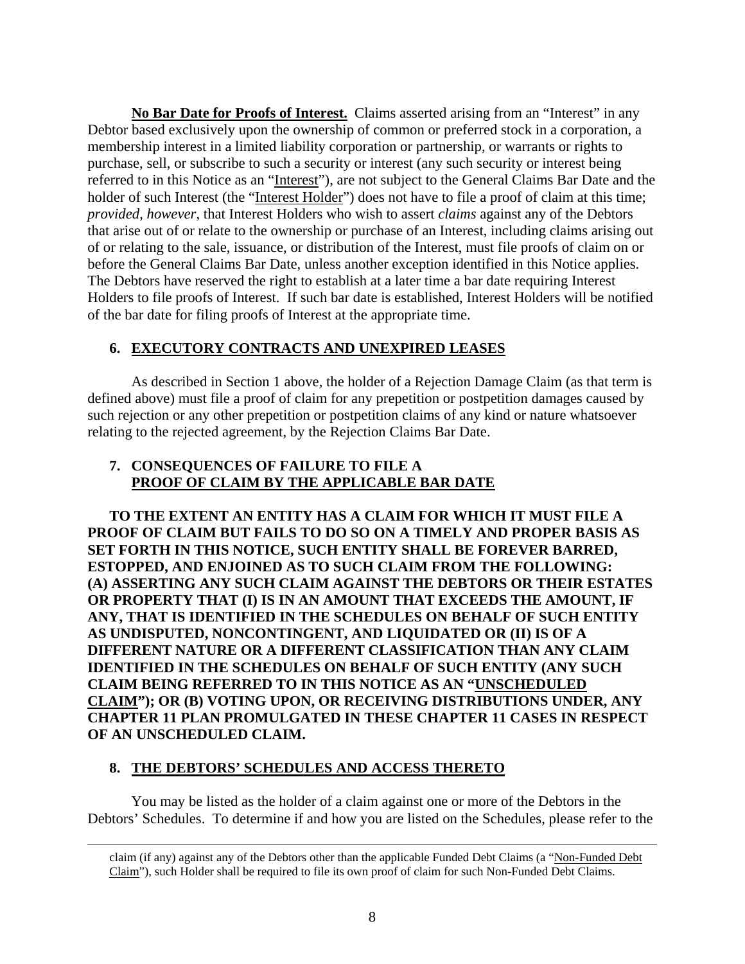**No Bar Date for Proofs of Interest.** Claims asserted arising from an "Interest" in any Debtor based exclusively upon the ownership of common or preferred stock in a corporation, a membership interest in a limited liability corporation or partnership, or warrants or rights to purchase, sell, or subscribe to such a security or interest (any such security or interest being referred to in this Notice as an "Interest"), are not subject to the General Claims Bar Date and the holder of such Interest (the "Interest Holder") does not have to file a proof of claim at this time; *provided*, *however*, that Interest Holders who wish to assert *claims* against any of the Debtors that arise out of or relate to the ownership or purchase of an Interest, including claims arising out of or relating to the sale, issuance, or distribution of the Interest, must file proofs of claim on or before the General Claims Bar Date, unless another exception identified in this Notice applies. The Debtors have reserved the right to establish at a later time a bar date requiring Interest Holders to file proofs of Interest. If such bar date is established, Interest Holders will be notified of the bar date for filing proofs of Interest at the appropriate time.

### **6. EXECUTORY CONTRACTS AND UNEXPIRED LEASES**

As described in Section 1 above, the holder of a Rejection Damage Claim (as that term is defined above) must file a proof of claim for any prepetition or postpetition damages caused by such rejection or any other prepetition or postpetition claims of any kind or nature whatsoever relating to the rejected agreement, by the Rejection Claims Bar Date.

### **7. CONSEQUENCES OF FAILURE TO FILE A PROOF OF CLAIM BY THE APPLICABLE BAR DATE**

**TO THE EXTENT AN ENTITY HAS A CLAIM FOR WHICH IT MUST FILE A PROOF OF CLAIM BUT FAILS TO DO SO ON A TIMELY AND PROPER BASIS AS SET FORTH IN THIS NOTICE, SUCH ENTITY SHALL BE FOREVER BARRED, ESTOPPED, AND ENJOINED AS TO SUCH CLAIM FROM THE FOLLOWING: (A) ASSERTING ANY SUCH CLAIM AGAINST THE DEBTORS OR THEIR ESTATES OR PROPERTY THAT (I) IS IN AN AMOUNT THAT EXCEEDS THE AMOUNT, IF ANY, THAT IS IDENTIFIED IN THE SCHEDULES ON BEHALF OF SUCH ENTITY AS UNDISPUTED, NONCONTINGENT, AND LIQUIDATED OR (II) IS OF A DIFFERENT NATURE OR A DIFFERENT CLASSIFICATION THAN ANY CLAIM IDENTIFIED IN THE SCHEDULES ON BEHALF OF SUCH ENTITY (ANY SUCH CLAIM BEING REFERRED TO IN THIS NOTICE AS AN "UNSCHEDULED CLAIM"); OR (B) VOTING UPON, OR RECEIVING DISTRIBUTIONS UNDER, ANY CHAPTER 11 PLAN PROMULGATED IN THESE CHAPTER 11 CASES IN RESPECT OF AN UNSCHEDULED CLAIM.** 

#### **8. THE DEBTORS' SCHEDULES AND ACCESS THERETO**

 You may be listed as the holder of a claim against one or more of the Debtors in the Debtors' Schedules. To determine if and how you are listed on the Schedules, please refer to the

<sup>&</sup>lt;u> 1989 - Andrea San Andrea San Andrea San Andrea San Andrea San Andrea San Andrea San Andrea San Andrea San An</u> claim (if any) against any of the Debtors other than the applicable Funded Debt Claims (a "Non-Funded Debt Claim"), such Holder shall be required to file its own proof of claim for such Non-Funded Debt Claims.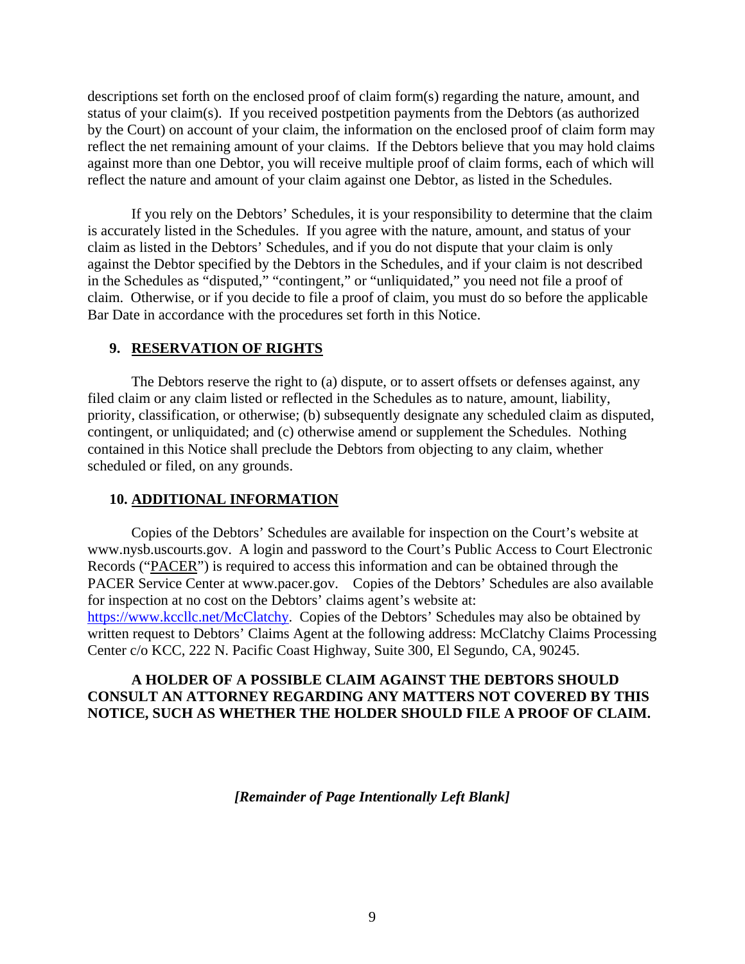descriptions set forth on the enclosed proof of claim form(s) regarding the nature, amount, and status of your claim(s). If you received postpetition payments from the Debtors (as authorized by the Court) on account of your claim, the information on the enclosed proof of claim form may reflect the net remaining amount of your claims. If the Debtors believe that you may hold claims against more than one Debtor, you will receive multiple proof of claim forms, each of which will reflect the nature and amount of your claim against one Debtor, as listed in the Schedules.

 If you rely on the Debtors' Schedules, it is your responsibility to determine that the claim is accurately listed in the Schedules. If you agree with the nature, amount, and status of your claim as listed in the Debtors' Schedules, and if you do not dispute that your claim is only against the Debtor specified by the Debtors in the Schedules, and if your claim is not described in the Schedules as "disputed," "contingent," or "unliquidated," you need not file a proof of claim. Otherwise, or if you decide to file a proof of claim, you must do so before the applicable Bar Date in accordance with the procedures set forth in this Notice.

### **9. RESERVATION OF RIGHTS**

The Debtors reserve the right to (a) dispute, or to assert offsets or defenses against, any filed claim or any claim listed or reflected in the Schedules as to nature, amount, liability, priority, classification, or otherwise; (b) subsequently designate any scheduled claim as disputed, contingent, or unliquidated; and (c) otherwise amend or supplement the Schedules. Nothing contained in this Notice shall preclude the Debtors from objecting to any claim, whether scheduled or filed, on any grounds.

### **10. ADDITIONAL INFORMATION**

 Copies of the Debtors' Schedules are available for inspection on the Court's website at www.nysb.uscourts.gov. A login and password to the Court's Public Access to Court Electronic Records ("PACER") is required to access this information and can be obtained through the PACER Service Center at www.pacer.gov. Copies of the Debtors' Schedules are also available for inspection at no cost on the Debtors' claims agent's website at: https://www.kccllc.net/McClatchy. Copies of the Debtors' Schedules may also be obtained by written request to Debtors' Claims Agent at the following address: McClatchy Claims Processing Center c/o KCC, 222 N. Pacific Coast Highway, Suite 300, El Segundo, CA, 90245.

### **A HOLDER OF A POSSIBLE CLAIM AGAINST THE DEBTORS SHOULD CONSULT AN ATTORNEY REGARDING ANY MATTERS NOT COVERED BY THIS NOTICE, SUCH AS WHETHER THE HOLDER SHOULD FILE A PROOF OF CLAIM.**

*[Remainder of Page Intentionally Left Blank]*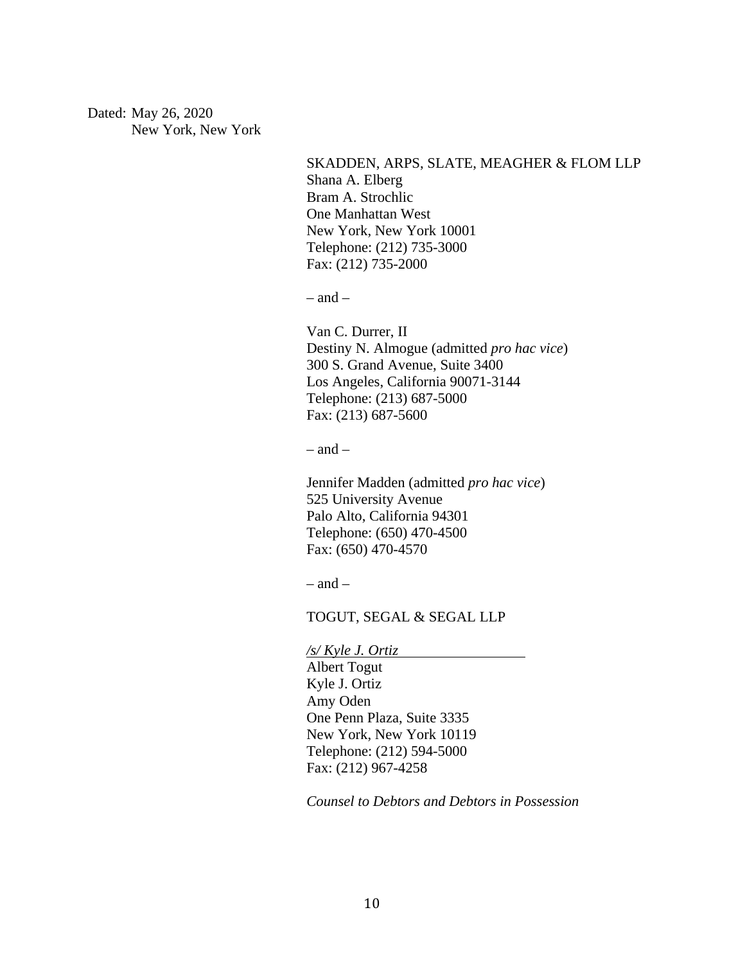Dated: May 26, 2020 New York, New York

> SKADDEN, ARPS, SLATE, MEAGHER & FLOM LLP Shana A. Elberg Bram A. Strochlic One Manhattan West New York, New York 10001 Telephone: (212) 735-3000 Fax: (212) 735-2000

 $-$  and  $-$ 

Van C. Durrer, II Destiny N. Almogue (admitted *pro hac vice*) 300 S. Grand Avenue, Suite 3400 Los Angeles, California 90071-3144 Telephone: (213) 687-5000 Fax: (213) 687-5600

 $-$  and  $-$ 

Jennifer Madden (admitted *pro hac vice*) 525 University Avenue Palo Alto, California 94301 Telephone: (650) 470-4500 Fax: (650) 470-4570

 $-$  and  $-$ 

TOGUT, SEGAL & SEGAL LLP

*/s/ Kyle J. Ortiz* 

Albert Togut Kyle J. Ortiz Amy Oden One Penn Plaza, Suite 3335 New York, New York 10119 Telephone: (212) 594-5000 Fax: (212) 967-4258

*Counsel to Debtors and Debtors in Possession*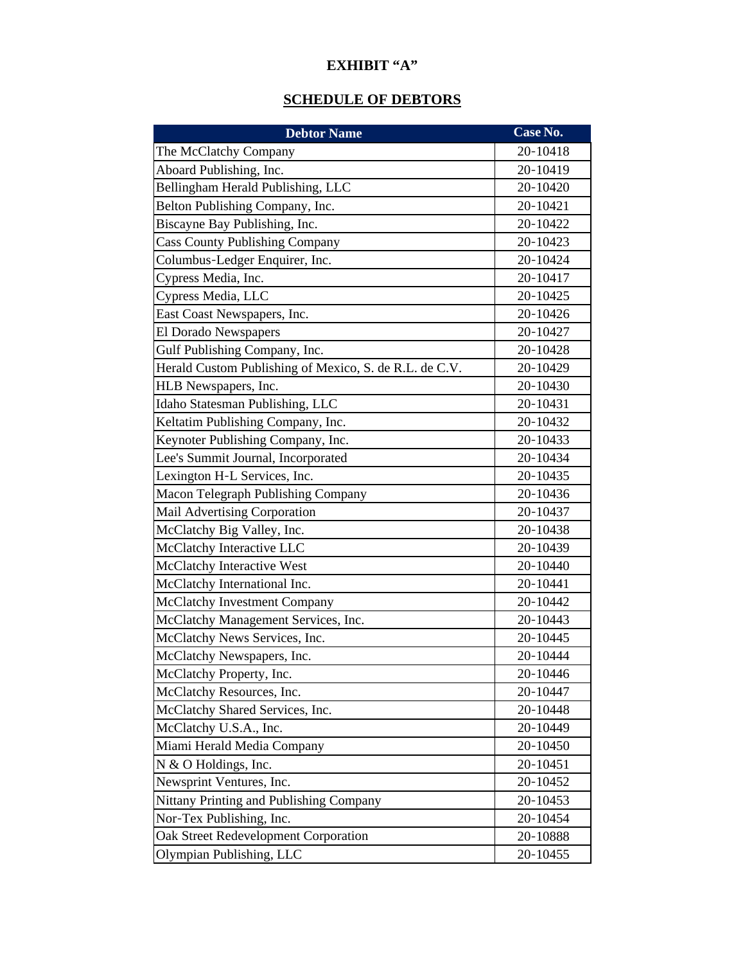# **EXHIBIT "A"**

# **SCHEDULE OF DEBTORS**

| <b>Debtor Name</b>                                     | Case No. |
|--------------------------------------------------------|----------|
| The McClatchy Company                                  | 20-10418 |
| Aboard Publishing, Inc.                                | 20-10419 |
| Bellingham Herald Publishing, LLC                      | 20-10420 |
| Belton Publishing Company, Inc.                        | 20-10421 |
| Biscayne Bay Publishing, Inc.                          | 20-10422 |
| <b>Cass County Publishing Company</b>                  | 20-10423 |
| Columbus-Ledger Enquirer, Inc.                         | 20-10424 |
| Cypress Media, Inc.                                    | 20-10417 |
| Cypress Media, LLC                                     | 20-10425 |
| East Coast Newspapers, Inc.                            | 20-10426 |
| El Dorado Newspapers                                   | 20-10427 |
| Gulf Publishing Company, Inc.                          | 20-10428 |
| Herald Custom Publishing of Mexico, S. de R.L. de C.V. | 20-10429 |
| HLB Newspapers, Inc.                                   | 20-10430 |
| Idaho Statesman Publishing, LLC                        | 20-10431 |
| Keltatim Publishing Company, Inc.                      | 20-10432 |
| Keynoter Publishing Company, Inc.                      | 20-10433 |
| Lee's Summit Journal, Incorporated                     | 20-10434 |
| Lexington H-L Services, Inc.                           | 20-10435 |
| Macon Telegraph Publishing Company                     | 20-10436 |
| Mail Advertising Corporation                           | 20-10437 |
| McClatchy Big Valley, Inc.                             | 20-10438 |
| McClatchy Interactive LLC                              | 20-10439 |
| <b>McClatchy Interactive West</b>                      | 20-10440 |
| McClatchy International Inc.                           | 20-10441 |
| McClatchy Investment Company                           | 20-10442 |
| McClatchy Management Services, Inc.                    | 20-10443 |
| McClatchy News Services, Inc.                          | 20-10445 |
| McClatchy Newspapers, Inc.                             | 20-10444 |
| McClatchy Property, Inc.                               | 20-10446 |
| McClatchy Resources, Inc.                              | 20-10447 |
| McClatchy Shared Services, Inc.                        | 20-10448 |
| McClatchy U.S.A., Inc.                                 | 20-10449 |
| Miami Herald Media Company                             | 20-10450 |
| N & O Holdings, Inc.                                   | 20-10451 |
| Newsprint Ventures, Inc.                               | 20-10452 |
| Nittany Printing and Publishing Company                | 20-10453 |
| Nor-Tex Publishing, Inc.                               | 20-10454 |
| Oak Street Redevelopment Corporation                   | 20-10888 |
| Olympian Publishing, LLC                               | 20-10455 |